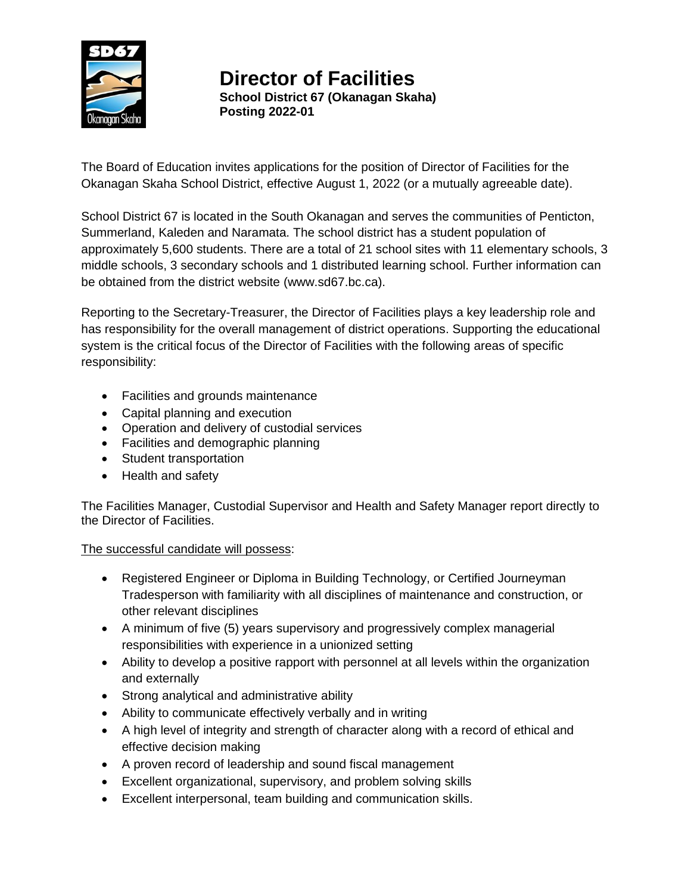

**Director of Facilities School District 67 (Okanagan Skaha) Posting 2022-01**

The Board of Education invites applications for the position of Director of Facilities for the Okanagan Skaha School District, effective August 1, 2022 (or a mutually agreeable date).

School District 67 is located in the South Okanagan and serves the communities of Penticton, Summerland, Kaleden and Naramata. The school district has a student population of approximately 5,600 students. There are a total of 21 school sites with 11 elementary schools, 3 middle schools, 3 secondary schools and 1 distributed learning school. Further information can be obtained from the district website [\(www.sd67.bc.ca\)](http://www.sd67.bc.ca/).

Reporting to the Secretary-Treasurer, the Director of Facilities plays a key leadership role and has responsibility for the overall management of district operations. Supporting the educational system is the critical focus of the Director of Facilities with the following areas of specific responsibility:

- Facilities and grounds maintenance
- Capital planning and execution
- Operation and delivery of custodial services
- Facilities and demographic planning
- Student transportation
- Health and safety

The Facilities Manager, Custodial Supervisor and Health and Safety Manager report directly to the Director of Facilities.

## The successful candidate will possess:

- Registered Engineer or Diploma in Building Technology, or Certified Journeyman Tradesperson with familiarity with all disciplines of maintenance and construction, or other relevant disciplines
- A minimum of five (5) years supervisory and progressively complex managerial responsibilities with experience in a unionized setting
- Ability to develop a positive rapport with personnel at all levels within the organization and externally
- Strong analytical and administrative ability
- Ability to communicate effectively verbally and in writing
- A high level of integrity and strength of character along with a record of ethical and effective decision making
- A proven record of leadership and sound fiscal management
- Excellent organizational, supervisory, and problem solving skills
- Excellent interpersonal, team building and communication skills.